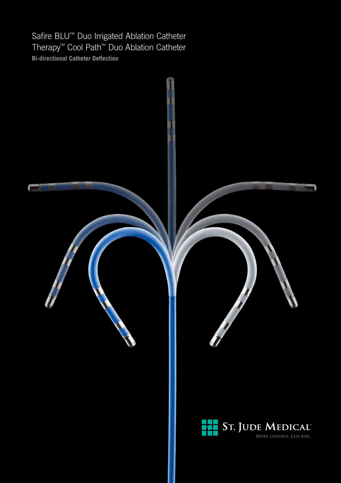Safire BLU<sup>™</sup> Duo Irrigated Ablation Catheter Therapy™ Cool Path™ Duo Ablation Catheter **Bi-directional Catheter Deflection**

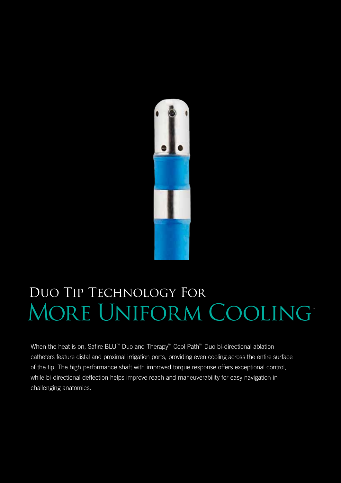

# Duo Tip Technology For More Uniform Cooling 1

When the heat is on, Safire BLU™ Duo and Therapy™ Cool Path™ Duo bi-directional ablation catheters feature distal and proximal irrigation ports, providing even cooling across the entire surface of the tip. The high performance shaft with improved torque response offers exceptional control, while bi-directional deflection helps improve reach and maneuverability for easy navigation in challenging anatomies.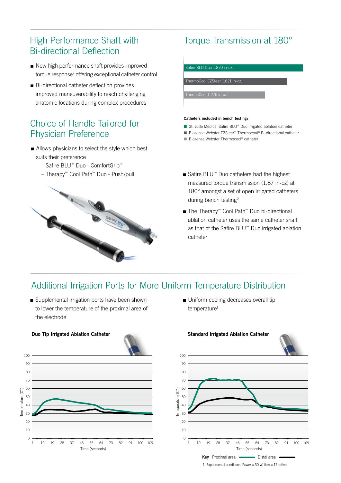### High Performance Shaft with Bi-directional Deflection

- New high performance shaft provides improved torque response<sup>2</sup> offering exceptional catheter control
- Bi-directional catheter deflection provides improved maneuverability to reach challenging anatomic locations during complex procedures

### Choice of Handle Tailored for Physician Preference

- Allows physicians to select the style which best suits their preference
	- Safire BLU™ Duo ComfortGrip™
	- Therapy™ Cool Path™ Duo Push/pull



# Torque Transmission at 180°

Safire BLU Duo 1.870 in-oz. ThermoCool EZSteer 1.621 in-oz.

### **Catheters included in bench testing:**

- St. Jude Medical Safire BLU™ Duo irrigated ablation catheter
- Biosense Webster EZSteer™ Thermocool® Bi-directional catheter
- Biosense Webster Thermocool® catheter
- Safire BLU™ Duo catheters had the highest measured torque transmission (1.87 in-oz) at 180° amongst a set of open irrigated catheters during bench testing2
- The Therapy™ Cool Path™ Duo bi-directional ablation catheter uses the same catheter shaft as that of the Safire BLU™ Duo irrigated ablation catheter

## Additional Irrigation Ports for More Uniform Temperature Distribution

■ Supplemental irrigation ports have been shown to lower the temperature of the proximal area of the electrode<sup>1</sup>





 $\blacksquare$  Uniform cooling decreases overall tip temperature<sup>1</sup>